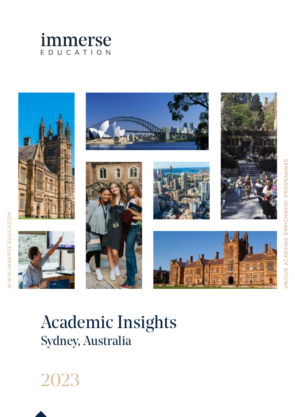















# Academic Insights Sydney, Australia



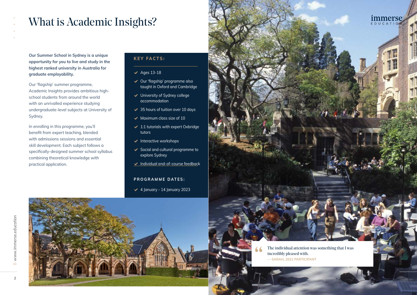2

## What is Academic Insights?

**Our Summer School in Sydney is a unique opportunity for you to live and study in the highest ranked university in Australia for graduate employability.** 

Our 'flagship' summer programme, Academic Insights provides ambitious highschool students from around the world with an unrivalled experience studying undergraduate-level subjects at University of Sydney.

- ✔ Our 'flagship' programme also taught in Oxford and Cambridge
- ✔ University of Sydney college accommodation
- $\blacktriangleright$  35 hours of tuition over 10 days
- $\blacktriangleright$  Maximum class size of 10
- $\blacktriangleright$  1:1 tutorials with expert Oxbridge tutors
- $\blacktriangleright$  Interactive workshops
- ✔ Social and cultural programme to explore Sydney
- ◆ Individual end-of-course feedback

In enrolling in this programme, you'll benefit from expert teaching, blended with admissions sessions and essential skill development. Each subject follows a specifically-designed summer school syllabus combining theoretical knowledge with practical application.

> The individual attention was something that I was incredibly pleased with. **— SARAH, 2021 PARTICIPANT**

 $\mathbb{R}^n$  is  $\mathbb{R}^n$  in the set of  $\mathbb{R}^n$ 

#### **KEY FACTS:**

#### $\blacktriangleright$  Ages 13-18

#### **PROGRAMME DATES:**

 $\triangleleft$  4 January - 14 January 2023



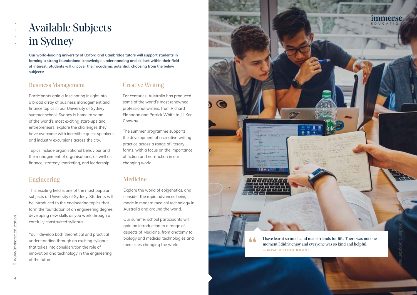### Creative Writing

For centuries, Australia has produced some of the world's most renowned professional writers, from Richard Flanagan and Patrick White to Jill Ker Conway.

The summer programme supports the development of a creative writing practice across a range of literary forms, with a focus on the importance of fiction and non-fiction in our changing world.

### Business Management

Participants gain a fascinating insight into a broad array of business management and finance topics in our University of Sydney summer school. Sydney is home to some of the world's most exciting start-ups and entrepreneurs, explore the challenges they have overcome with incredible guest speakers and industry excursions across the city.

Topics include organisational behaviour and the management of organisations, as well as finance, strategy, marketing, and leadership.

**Our world-leading university of Oxford and Cambridge tutors will support students in forming a strong foundational knowledge, understanding and skillset within their field of interest. Students will uncover their academic potential, choosing from the below subjects:**

### Engineering

This exciting field is one of the most popular subjects at University of Sydney. Students will be introduced to the engineering topics that form the foundation of an engineering degree. developing new skills as you work through a carefully constructed syllabus.

You'll develop both theoretical and practical understanding through an exciting syllabus that takes into consideration the role of innovation and technology in the engineering of the future.

### Medicine

Explore the world of epigenetics, and consider the rapid advances being made in modern medical technology in Australia and around the world.

Our summer school participants will gain an introduction to a range of aspects of Medicine, from anatomy to biology and medicial technologies and medicines changing the world.

# Available Subjects in Sydney



EDUCATIO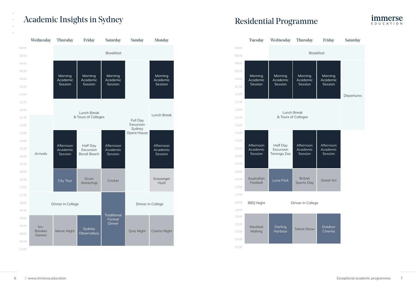### Academic Insights in Sydney Residential Programme

|       | Wednesday                       | <b>Thursday</b>                  | Friday                                      | Saturday                         | Sunday                             | Monday              |
|-------|---------------------------------|----------------------------------|---------------------------------------------|----------------------------------|------------------------------------|---------------------|
| 08:00 |                                 |                                  |                                             |                                  |                                    |                     |
| 08:30 |                                 |                                  |                                             | <b>Breakfast</b>                 |                                    |                     |
| 09:00 |                                 |                                  |                                             |                                  |                                    |                     |
| 09:30 |                                 |                                  |                                             | Morning                          |                                    |                     |
| 10:00 |                                 | Morning<br>Academic              | Morning<br>Academic                         | Academic                         |                                    | Morning<br>Academic |
| 10:30 |                                 | Session                          | Session                                     | Session                          |                                    | Session             |
| 11:00 |                                 |                                  |                                             |                                  |                                    |                     |
| 11:30 |                                 |                                  |                                             |                                  |                                    |                     |
| 12:00 |                                 |                                  | Full Day                                    | <b>Lunch Break</b>               |                                    |                     |
| 12:30 |                                 | & Tours of Colleges              |                                             |                                  |                                    |                     |
| 13:00 |                                 |                                  |                                             |                                  | Excursion<br>Sydney<br>Opera House |                     |
| 13:30 | <b>Arrivals</b>                 | Afternoon<br>Academic<br>Session | Half Day<br>Excursion<br><b>Bondi Beach</b> | Afternoon<br>Academic<br>Session |                                    | Afternoon           |
| 14:00 |                                 |                                  |                                             |                                  |                                    |                     |
| 14:30 |                                 |                                  |                                             |                                  |                                    | Academic            |
| 15:00 |                                 |                                  |                                             |                                  |                                    | Session             |
| 15:30 |                                 |                                  |                                             |                                  |                                    |                     |
| 16:00 |                                 | City Tour                        | Drum<br>Workshop                            | Cricket                          |                                    |                     |
| 16:30 |                                 |                                  |                                             |                                  |                                    | Scavenger<br>Hunt   |
| 17:00 |                                 |                                  |                                             |                                  |                                    |                     |
| 17:30 |                                 |                                  |                                             |                                  |                                    |                     |
| 18:00 | Dinner in College               |                                  |                                             |                                  | Dinner in College                  |                     |
| 18:30 |                                 |                                  |                                             |                                  |                                    |                     |
| 19:00 |                                 | Movie Night                      | Sydney<br>Observatory                       | Traditional<br>Formal<br>Dinner  | Quiz Night                         | <b>Casino Night</b> |
| 19:30 | Ice-<br><b>Breaker</b><br>Games |                                  |                                             |                                  |                                    |                     |
| 20:00 |                                 |                                  |                                             |                                  |                                    |                     |
| 20:30 |                                 |                                  |                                             |                                  |                                    |                     |
| 21:00 |                                 |                                  |                                             |                                  |                                    |                     |

|                | Tuesday                | Wednesday           | <b>Thursday</b>                     | Friday              | Saturday   |  |  |  |  |
|----------------|------------------------|---------------------|-------------------------------------|---------------------|------------|--|--|--|--|
| 08:00          |                        |                     |                                     |                     |            |  |  |  |  |
| 08:30          | <b>Breakfast</b>       |                     |                                     |                     |            |  |  |  |  |
| 09:00          |                        |                     |                                     |                     |            |  |  |  |  |
| 09:30          | Morning                | Morning             | Morning                             | Morning             |            |  |  |  |  |
| 10:00          | Academic<br>Session    | Academic<br>Session | Academic<br>Session                 | Academic<br>Session |            |  |  |  |  |
| 10:30          |                        |                     |                                     |                     |            |  |  |  |  |
| 11:00          |                        |                     |                                     |                     | Departures |  |  |  |  |
| 11:30          |                        |                     |                                     |                     |            |  |  |  |  |
| 12:00          |                        |                     |                                     |                     |            |  |  |  |  |
| 12:30          | & Tours of Colleges    |                     |                                     |                     |            |  |  |  |  |
| 13:00          |                        |                     |                                     |                     |            |  |  |  |  |
| 13:30          |                        |                     |                                     |                     |            |  |  |  |  |
| 14:00          | Afternoon              | Half Day            | Afternoon                           | Afternoon           |            |  |  |  |  |
| 14:30          | Academic<br>Session    | Excursion           | Academic<br>Session                 | Academic<br>Session |            |  |  |  |  |
| 15:00          |                        | Taronga Zoo         |                                     |                     |            |  |  |  |  |
| 15:30          |                        |                     |                                     |                     |            |  |  |  |  |
| 16:00          |                        |                     | <b>British</b><br><b>Sports Day</b> | <b>Street Art</b>   |            |  |  |  |  |
| 16:30          | Australian<br>Football | Luna Park           |                                     |                     |            |  |  |  |  |
| 17:00          |                        |                     |                                     |                     |            |  |  |  |  |
| 17:30          |                        |                     |                                     |                     |            |  |  |  |  |
| 18:00          | <b>BBQ Night</b>       |                     |                                     |                     |            |  |  |  |  |
| 18:30          |                        |                     |                                     |                     |            |  |  |  |  |
| 19:00          |                        |                     |                                     |                     |            |  |  |  |  |
| 19:30<br>20:00 | Mocktail<br>Making     | Darling<br>Harbour  | <b>Talent Show</b>                  | Outdoor<br>Cinema   |            |  |  |  |  |
| 20:30          |                        |                     |                                     |                     |            |  |  |  |  |
| 21:00          |                        |                     |                                     |                     |            |  |  |  |  |





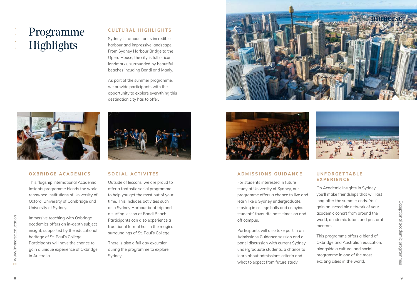

# Programme Highlights

#### **OXBRIDGE ACADEMICS**

Immersive teaching with Oxbridge academics offers an in-depth subject insight, supported by the educational heritage of St. Paul's College. Participants will have the chance to gain a unique experience of Oxbridge in Australia. University of Sydney.<br>
University of Sydney.<br>
University of Sydney.<br>
University of Sydney.<br>
University of Sydney.<br>
In merecommended that the magnet of the streament of the streament of the streament of the streament of the



This flagship international Academic Insights programme blends the worldrenowned institutions of University of Oxford, University of Cambridge and University of Sydney.

#### **SOCIAL ACTIVITES**

Outside of lessons, we are proud to offer a fantastic social programme to help you get the most out of your time. This includes activities such as a Sydney Harbour boat trip and a surfing lesson at Bondi Beach. Participants can also experience a traditional formal hall in the magical surroundings of St. Paul's College.

There is also a full day excursion during the programme to explore Sydney.





#### **CULTURAL HIGHLIGHTS**

Sydney is famous for its incredible harbour and impressive landscape. From Sydney Harbour Bridge to the Opera House, the city is full of iconic landmarks, surrounded by beautiful beaches incuding Bondi and Manly.

As part of the summer programme, we provide participants with the opportunity to explore everything this destination city has to offer.



#### **ADMISSIONS GUIDANCE**

For students interested in future study at University of Sydney, our programme offers a chance to live and learn like a Sydney undergraduate, staying in college halls and enjoying students' favourite past-times on and off campus.

Participants will also take part in an Admissions Guidance session and a panel discussion with current Sydney undergraduate students, a chance to learn about admissions criteria and what to expect from future study.

#### **U N F O R G E T TA B L E EXPERIENCE**

On Academic Insights in Sydney, you'll make friendships that will last long after the summer ends. You'll gain an incredible network of your academic cohort from around the world, academic tutors and pastoral mentors.

This programme offers a blend of Oxbridge and Australian education, alongside a cultural and social programme in one of the most exciting cities in the world.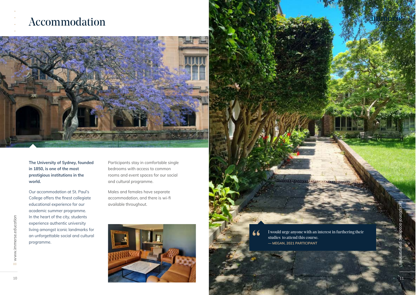### Accommodation



**The University of Sydney, founded in 1850, is one of the most prestigious institutions in the world.** 

Our accommodation at St. Paul's College offers the finest collegiate educational experience for our academic summer programme. In the heart of the city, students experience authentic university living amongst iconic landmarks for an unforgettable social and cultural programme.

**66** I would urge anyone with an interest in furthering their<br>studies to attend this course.<br>— MEGAN, 2021 PARTICIPANT studies to attend this course.

<u>hall announces and announce</u>

Participants stay in comfortable single bedrooms with access to common rooms and event spaces for our social and cultural programme.

Males and females have separate accommodation, and there is wi-fi available throughout.

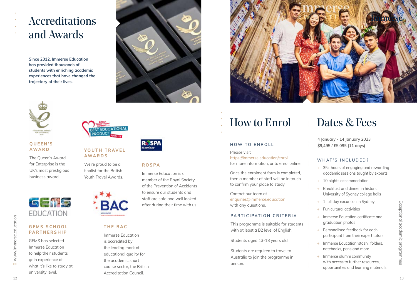## Accreditations and Awards

#### **QUEEN'S AWA R D**

Immerse Education is accredited by the leading mark of educational quality for the academic short course sector, the British Accreditation Council. 12 CONTION THE BAC<br>
EDUCATION THE BAC<br>
ENGRIS SCHOOL THE BAC<br>
PARTICIPATION CRITERIA Fundrom CHITERIA Fundrom CHITERIA Fundrom CHITERIA Fundrom CHITERIA Fundrom CHITERIA FUNISH CHITERIS HIS CONSIST ON THE BAC<br>
PARTICIPATI



The Queen's Award for Enterprise is the UK's most prestigious business award.



#### **THE BAC**

### YOUTH TRAVEL **AWARDS**

We're proud to be a finalist for the British Youth Travel Awards.



### **G E M S S C H O O L PARTNERSHIP**

GEMS has selected Immerse Education to help their students gain experience of what it's like to study at university level.

### **ROSPA**

Immerse Education is a member of the Royal Society of the Prevention of Accidents to ensure our students and staff are safe and well looked after during their time with us.



**Since 2012, Immerse Education has provided thousands of students with enriching academic experiences that have changed the trajectory of their lives.** 





# How to Enrol

### **PARTICIPATION CRITERIA**

This programme is suitable for students with at least a B2 level of English.

Students aged 13-18 years old.

Students are required to travel to Australia to join the programme in person.



#### **HOW TO ENROLL**

Please visit https://immerse.education/enrol for more information, or to enrol online.

Once the enrolment form is completed, then a member of staff will be in touch to confirm your place to study.

Contact our team at enquiries@immerse.education with any questions.

## Dates & Fees

#### **WHAT'S INCLUDED?**

- + 35+ hours of engaging and rewarding academic sessions taught by experts
- + 10 nights accommodation
- + Breakfast and dinner in historic University of Sydney college halls
- + 1 full day excursion in Sydney
- Fun cultural activities
- + Immerse Education certificate and graduation photos
- + Personalised feedback for each participant from their expert tutors
- + Immerse Education 'stash'; folders, notebooks, pens and more
- + Immerse alumni community with access to further resources, opportunities and learning materials

**4 January - 14 January 2023 \$9,495 / £5,095 (11 days)**